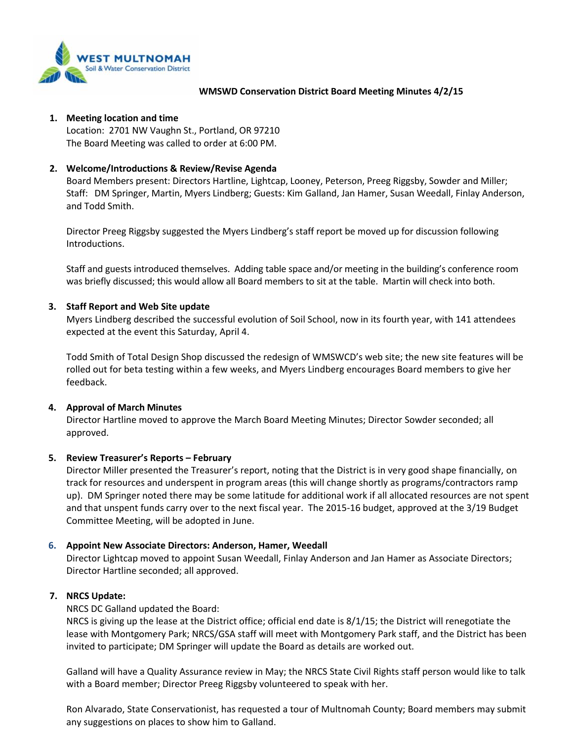

#### **WMSWD Conservation District Board Meeting Minutes 4/2/15**

#### **1. Meeting location and time**

Location: 2701 NW Vaughn St., Portland, OR 97210 The Board Meeting was called to order at 6:00 PM.

# **2. Welcome/Introductions & Review/Revise Agenda**

Board Members present: Directors Hartline, Lightcap, Looney, Peterson, Preeg Riggsby, Sowder and Miller; Staff: DM Springer, Martin, Myers Lindberg; Guests: Kim Galland, Jan Hamer, Susan Weedall, Finlay Anderson, and Todd Smith.

Director Preeg Riggsby suggested the Myers Lindberg's staff report be moved up for discussion following Introductions.

Staff and guests introduced themselves. Adding table space and/or meeting in the building's conference room was briefly discussed; this would allow all Board members to sit at the table. Martin will check into both.

#### **3. Staff Report and Web Site update**

Myers Lindberg described the successful evolution of Soil School, now in its fourth year, with 141 attendees expected at the event this Saturday, April 4.

Todd Smith of Total Design Shop discussed the redesign of WMSWCD's web site; the new site features will be rolled out for beta testing within a few weeks, and Myers Lindberg encourages Board members to give her feedback.

#### **4. Approval of March Minutes**

Director Hartline moved to approve the March Board Meeting Minutes; Director Sowder seconded; all approved.

# **5. Review Treasurer's Reports – February**

Director Miller presented the Treasurer's report, noting that the District is in very good shape financially, on track for resources and underspent in program areas (this will change shortly as programs/contractors ramp up). DM Springer noted there may be some latitude for additional work if all allocated resources are not spent and that unspent funds carry over to the next fiscal year. The 2015-16 budget, approved at the 3/19 Budget Committee Meeting, will be adopted in June.

# **6. Appoint New Associate Directors: Anderson, Hamer, Weedall**

Director Lightcap moved to appoint Susan Weedall, Finlay Anderson and Jan Hamer as Associate Directors; Director Hartline seconded; all approved.

# **7. NRCS Update:**

NRCS DC Galland updated the Board:

NRCS is giving up the lease at the District office; official end date is 8/1/15; the District will renegotiate the lease with Montgomery Park; NRCS/GSA staff will meet with Montgomery Park staff, and the District has been invited to participate; DM Springer will update the Board as details are worked out.

Galland will have a Quality Assurance review in May; the NRCS State Civil Rights staff person would like to talk with a Board member; Director Preeg Riggsby volunteered to speak with her.

Ron Alvarado, State Conservationist, has requested a tour of Multnomah County; Board members may submit any suggestions on places to show him to Galland.